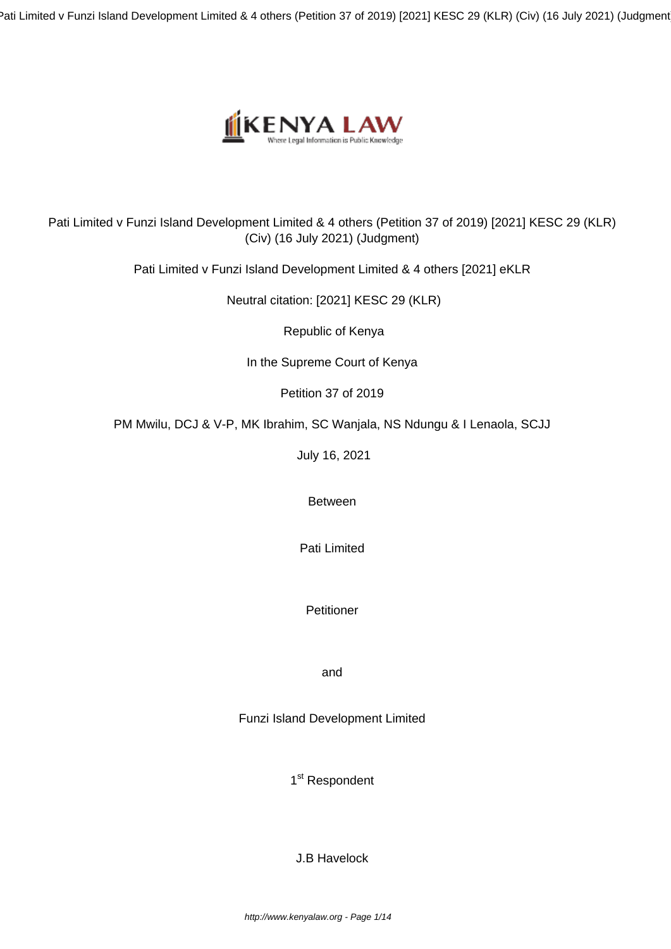Pati Limited v Funzi Island Development Limited & 4 others (Petition 37 of 2019) [2021] KESC 29 (KLR) (Civ) (16 July 2021) (Judgment)



## Pati Limited v Funzi Island Development Limited & 4 others (Petition 37 of 2019) [2021] KESC 29 (KLR) (Civ) (16 July 2021) (Judgment)

Pati Limited v Funzi Island Development Limited & 4 others [2021] eKLR

Neutral citation: [2021] KESC 29 (KLR)

Republic of Kenya

In the Supreme Court of Kenya

Petition 37 of 2019

PM Mwilu, DCJ & V-P, MK Ibrahim, SC Wanjala, NS Ndungu & I Lenaola, SCJJ

July 16, 2021

Between

Pati Limited

**Petitioner** 

and

Funzi Island Development Limited

1<sup>st</sup> Respondent

J.B Havelock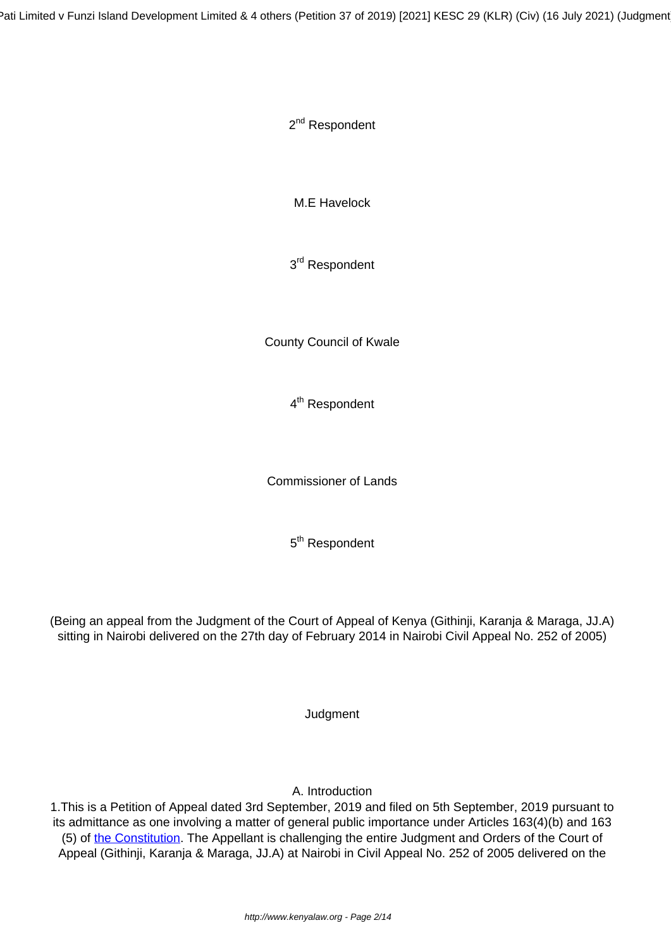2<sup>nd</sup> Respondent

M.E Havelock

3<sup>rd</sup> Respondent

County Council of Kwale

4<sup>th</sup> Respondent

Commissioner of Lands

5<sup>th</sup> Respondent

(Being an appeal from the Judgment of the Court of Appeal of Kenya (Githinji, Karanja & Maraga, JJ.A) sitting in Nairobi delivered on the 27th day of February 2014 in Nairobi Civil Appeal No. 252 of 2005)

**Judgment** 

A. Introduction

1.This is a Petition of Appeal dated 3rd September, 2019 and filed on 5th September, 2019 pursuant to its admittance as one involving a matter of general public importance under Articles 163(4)(b) and 163 (5) of [the Constitution.](http://kenyalaw.org:8181/exist/kenyalex/actview.xql"actid=Const2010) The Appellant is challenging the entire Judgment and Orders of the Court of Appeal (Githinji, Karanja & Maraga, JJ.A) at Nairobi in Civil Appeal No. 252 of 2005 delivered on the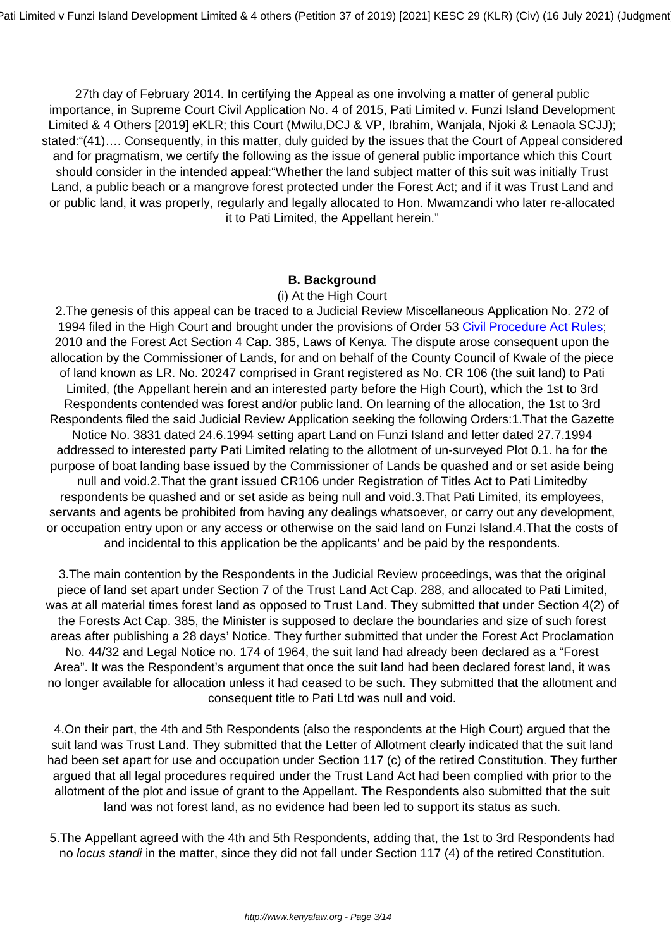27th day of February 2014. In certifying the Appeal as one involving a matter of general public importance, in Supreme Court Civil Application No. 4 of 2015, Pati Limited v. Funzi Island Development Limited & 4 Others [2019] eKLR; this Court (Mwilu,DCJ & VP, Ibrahim, Wanjala, Njoki & Lenaola SCJJ); stated:"(41)…. Consequently, in this matter, duly guided by the issues that the Court of Appeal considered and for pragmatism, we certify the following as the issue of general public importance which this Court should consider in the intended appeal:"Whether the land subject matter of this suit was initially Trust Land, a public beach or a mangrove forest protected under the Forest Act; and if it was Trust Land and or public land, it was properly, regularly and legally allocated to Hon. Mwamzandi who later re-allocated it to Pati Limited, the Appellant herein."

#### **B. Background**

(i) At the High Court

2.The genesis of this appeal can be traced to a Judicial Review Miscellaneous Application No. 272 of 1994 filed in the High Court and brought under the provisions of Order 53 [Civil Procedure Act Rules](http://kenyalaw.org:8181/exist/kenyalex/sublegview.xql"subleg=CAP.%2021); 2010 and the Forest Act Section 4 Cap. 385, Laws of Kenya. The dispute arose consequent upon the allocation by the Commissioner of Lands, for and on behalf of the County Council of Kwale of the piece of land known as LR. No. 20247 comprised in Grant registered as No. CR 106 (the suit land) to Pati Limited, (the Appellant herein and an interested party before the High Court), which the 1st to 3rd Respondents contended was forest and/or public land. On learning of the allocation, the 1st to 3rd Respondents filed the said Judicial Review Application seeking the following Orders:1.That the Gazette Notice No. 3831 dated 24.6.1994 setting apart Land on Funzi Island and letter dated 27.7.1994 addressed to interested party Pati Limited relating to the allotment of un-surveyed Plot 0.1. ha for the purpose of boat landing base issued by the Commissioner of Lands be quashed and or set aside being null and void.2.That the grant issued CR106 under Registration of Titles Act to Pati Limitedby respondents be quashed and or set aside as being null and void.3.That Pati Limited, its employees, servants and agents be prohibited from having any dealings whatsoever, or carry out any development, or occupation entry upon or any access or otherwise on the said land on Funzi Island.4.That the costs of and incidental to this application be the applicants' and be paid by the respondents.

3.The main contention by the Respondents in the Judicial Review proceedings, was that the original piece of land set apart under Section 7 of the Trust Land Act Cap. 288, and allocated to Pati Limited, was at all material times forest land as opposed to Trust Land. They submitted that under Section 4(2) of the Forests Act Cap. 385, the Minister is supposed to declare the boundaries and size of such forest areas after publishing a 28 days' Notice. They further submitted that under the Forest Act Proclamation No. 44/32 and Legal Notice no. 174 of 1964, the suit land had already been declared as a "Forest Area". It was the Respondent's argument that once the suit land had been declared forest land, it was no longer available for allocation unless it had ceased to be such. They submitted that the allotment and consequent title to Pati Ltd was null and void.

4.On their part, the 4th and 5th Respondents (also the respondents at the High Court) argued that the suit land was Trust Land. They submitted that the Letter of Allotment clearly indicated that the suit land had been set apart for use and occupation under Section 117 (c) of the retired Constitution. They further argued that all legal procedures required under the Trust Land Act had been complied with prior to the allotment of the plot and issue of grant to the Appellant. The Respondents also submitted that the suit land was not forest land, as no evidence had been led to support its status as such.

5.The Appellant agreed with the 4th and 5th Respondents, adding that, the 1st to 3rd Respondents had no *locus standi* in the matter, since they did not fall under Section 117 (4) of the retired Constitution.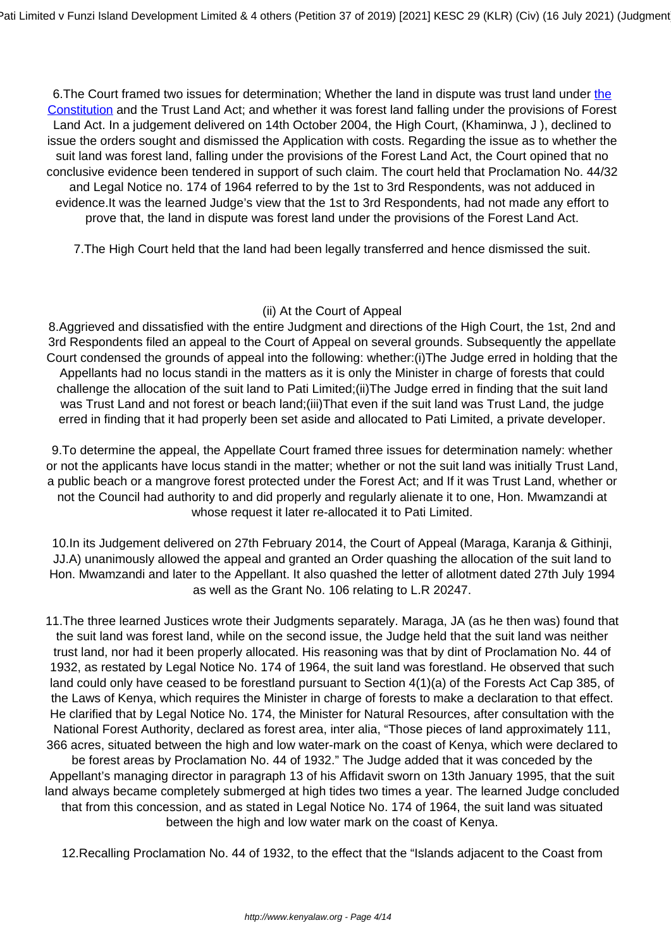6.The Court framed two issues for determination; Whether the land in dispute was trust land under [the](http://kenyalaw.org:8181/exist/kenyalex/actview.xql"actid=Const2010) [Constitution](http://kenyalaw.org:8181/exist/kenyalex/actview.xql"actid=Const2010) and the Trust Land Act; and whether it was forest land falling under the provisions of Forest Land Act. In a judgement delivered on 14th October 2004, the High Court, (Khaminwa, J ), declined to issue the orders sought and dismissed the Application with costs. Regarding the issue as to whether the suit land was forest land, falling under the provisions of the Forest Land Act, the Court opined that no conclusive evidence been tendered in support of such claim. The court held that Proclamation No. 44/32 and Legal Notice no. 174 of 1964 referred to by the 1st to 3rd Respondents, was not adduced in evidence.It was the learned Judge's view that the 1st to 3rd Respondents, had not made any effort to prove that, the land in dispute was forest land under the provisions of the Forest Land Act.

7.The High Court held that the land had been legally transferred and hence dismissed the suit.

## (ii) At the Court of Appeal

8.Aggrieved and dissatisfied with the entire Judgment and directions of the High Court, the 1st, 2nd and 3rd Respondents filed an appeal to the Court of Appeal on several grounds. Subsequently the appellate Court condensed the grounds of appeal into the following: whether:(i)The Judge erred in holding that the Appellants had no locus standi in the matters as it is only the Minister in charge of forests that could challenge the allocation of the suit land to Pati Limited;(ii)The Judge erred in finding that the suit land was Trust Land and not forest or beach land;(iii)That even if the suit land was Trust Land, the judge erred in finding that it had properly been set aside and allocated to Pati Limited, a private developer.

9.To determine the appeal, the Appellate Court framed three issues for determination namely: whether or not the applicants have locus standi in the matter; whether or not the suit land was initially Trust Land, a public beach or a mangrove forest protected under the Forest Act; and If it was Trust Land, whether or not the Council had authority to and did properly and regularly alienate it to one, Hon. Mwamzandi at whose request it later re-allocated it to Pati Limited.

10.In its Judgement delivered on 27th February 2014, the Court of Appeal (Maraga, Karanja & Githinji, JJ.A) unanimously allowed the appeal and granted an Order quashing the allocation of the suit land to Hon. Mwamzandi and later to the Appellant. It also quashed the letter of allotment dated 27th July 1994 as well as the Grant No. 106 relating to L.R 20247.

11.The three learned Justices wrote their Judgments separately. Maraga, JA (as he then was) found that the suit land was forest land, while on the second issue, the Judge held that the suit land was neither trust land, nor had it been properly allocated. His reasoning was that by dint of Proclamation No. 44 of 1932, as restated by Legal Notice No. 174 of 1964, the suit land was forestland. He observed that such land could only have ceased to be forestland pursuant to Section 4(1)(a) of the Forests Act Cap 385, of the Laws of Kenya, which requires the Minister in charge of forests to make a declaration to that effect. He clarified that by Legal Notice No. 174, the Minister for Natural Resources, after consultation with the National Forest Authority, declared as forest area, inter alia, "Those pieces of land approximately 111, 366 acres, situated between the high and low water-mark on the coast of Kenya, which were declared to be forest areas by Proclamation No. 44 of 1932." The Judge added that it was conceded by the Appellant's managing director in paragraph 13 of his Affidavit sworn on 13th January 1995, that the suit land always became completely submerged at high tides two times a year. The learned Judge concluded that from this concession, and as stated in Legal Notice No. 174 of 1964, the suit land was situated between the high and low water mark on the coast of Kenya.

12.Recalling Proclamation No. 44 of 1932, to the effect that the "Islands adjacent to the Coast from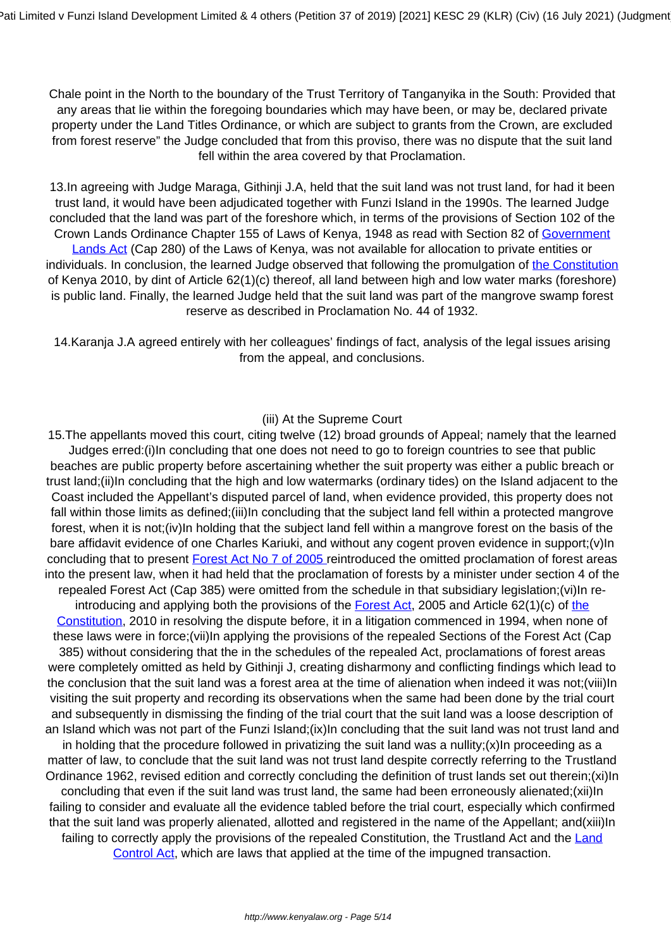Chale point in the North to the boundary of the Trust Territory of Tanganyika in the South: Provided that any areas that lie within the foregoing boundaries which may have been, or may be, declared private property under the Land Titles Ordinance, or which are subject to grants from the Crown, are excluded from forest reserve" the Judge concluded that from this proviso, there was no dispute that the suit land fell within the area covered by that Proclamation.

13.In agreeing with Judge Maraga, Githinji J.A, held that the suit land was not trust land, for had it been trust land, it would have been adjudicated together with Funzi Island in the 1990s. The learned Judge concluded that the land was part of the foreshore which, in terms of the provisions of Section 102 of the Crown Lands Ordinance Chapter 155 of Laws of Kenya, 1948 as read with Section 82 of [Government](http://www.kenyalaw.org/kl/fileadmin/pdfdownloads/Acts/GovernmentLandsActCap280.pdf) [Lands Act](http://www.kenyalaw.org/kl/fileadmin/pdfdownloads/Acts/GovernmentLandsActCap280.pdf) (Cap 280) of the Laws of Kenya, was not available for allocation to private entities or individuals. In conclusion, the learned Judge observed that following the promulgation of [the Constitution](http://kenyalaw.org:8181/exist/kenyalex/actview.xql"actid=Const2010) of Kenya 2010, by dint of Article 62(1)(c) thereof, all land between high and low water marks (foreshore) is public land. Finally, the learned Judge held that the suit land was part of the mangrove swamp forest reserve as described in Proclamation No. 44 of 1932.

14.Karanja J.A agreed entirely with her colleagues' findings of fact, analysis of the legal issues arising from the appeal, and conclusions.

#### (iii) At the Supreme Court

15.The appellants moved this court, citing twelve (12) broad grounds of Appeal; namely that the learned Judges erred:(i)In concluding that one does not need to go to foreign countries to see that public beaches are public property before ascertaining whether the suit property was either a public breach or trust land;(ii)In concluding that the high and low watermarks (ordinary tides) on the Island adjacent to the Coast included the Appellant's disputed parcel of land, when evidence provided, this property does not fall within those limits as defined;(iii)In concluding that the subject land fell within a protected mangrove forest, when it is not;(iv)In holding that the subject land fell within a mangrove forest on the basis of the bare affidavit evidence of one Charles Kariuki, and without any cogent proven evidence in support;(v)In concluding that to present **Forest Act No 7 of 2005** reintroduced the omitted proclamation of forest areas into the present law, when it had held that the proclamation of forests by a minister under section 4 of the repealed Forest Act (Cap 385) were omitted from the schedule in that subsidiary legislation;(vi)In reintroducing and applying both [the](http://kenyalaw.org:8181/exist/kenyalex/actview.xql"actid=Const2010) provisions of the **[Forest Act](http://kenyalaw.org/kl/fileadmin/pdfdownloads/Acts/ForestsAct_No7of2005.pdf)**, 2005 and Article 62(1)(c) of the [Constitution,](http://kenyalaw.org:8181/exist/kenyalex/actview.xql"actid=Const2010) 2010 in resolving the dispute before, it in a litigation commenced in 1994, when none of these laws were in force;(vii)In applying the provisions of the repealed Sections of the Forest Act (Cap 385) without considering that the in the schedules of the repealed Act, proclamations of forest areas were completely omitted as held by Githinji J, creating disharmony and conflicting findings which lead to the conclusion that the suit land was a forest area at the time of alienation when indeed it was not;(viii)In visiting the suit property and recording its observations when the same had been done by the trial court and subsequently in dismissing the finding of the trial court that the suit land was a loose description of an Island which was not part of the Funzi Island;(ix)In concluding that the suit land was not trust land and in holding that the procedure followed in privatizing the suit land was a nullity; $(x)$ In proceeding as a matter of law, to conclude that the suit land was not trust land despite correctly referring to the Trustland Ordinance 1962, revised edition and correctly concluding the definition of trust lands set out therein;(xi)In concluding that even if the suit land was trust land, the same had been erroneously alienated;(xii)In failing to consider and evaluate all the evidence tabled before the trial court, especially which confirmed that the suit land was properly alienated, allotted and registered in the name of the Appellant; and(xiii)In failing to correctly apply the provisions of the repealed Constitution, the Trustland Act and the [Land](http://www.kenyalaw.org:8181/exist/kenyalex/actview.xql"actid=CAP.%20302) [Control Act,](http://www.kenyalaw.org:8181/exist/kenyalex/actview.xql"actid=CAP.%20302) which are laws that applied at the time of the impugned transaction.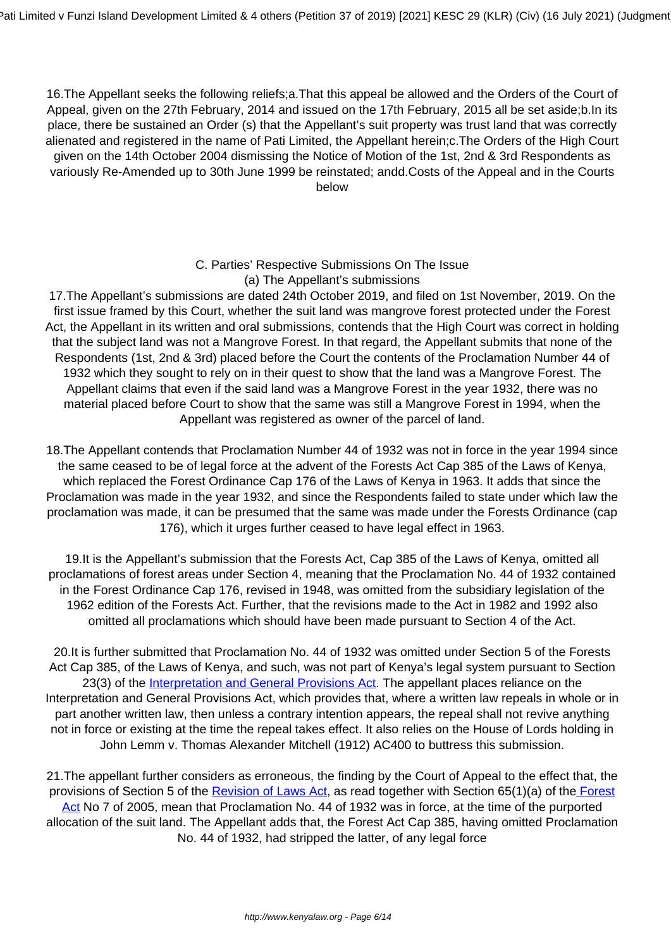16.The Appellant seeks the following reliefs;a.That this appeal be allowed and the Orders of the Court of Appeal, given on the 27th February, 2014 and issued on the 17th February, 2015 all be set aside;b.In its place, there be sustained an Order (s) that the Appellant's suit property was trust land that was correctly alienated and registered in the name of Pati Limited, the Appellant herein;c.The Orders of the High Court given on the 14th October 2004 dismissing the Notice of Motion of the 1st, 2nd & 3rd Respondents as variously Re-Amended up to 30th June 1999 be reinstated; andd.Costs of the Appeal and in the Courts below

## C. Parties' Respective Submissions On The Issue (a) The Appellant's submissions

17.The Appellant's submissions are dated 24th October 2019, and filed on 1st November, 2019. On the first issue framed by this Court, whether the suit land was mangrove forest protected under the Forest Act, the Appellant in its written and oral submissions, contends that the High Court was correct in holding that the subject land was not a Mangrove Forest. In that regard, the Appellant submits that none of the Respondents (1st, 2nd & 3rd) placed before the Court the contents of the Proclamation Number 44 of 1932 which they sought to rely on in their quest to show that the land was a Mangrove Forest. The Appellant claims that even if the said land was a Mangrove Forest in the year 1932, there was no material placed before Court to show that the same was still a Mangrove Forest in 1994, when the Appellant was registered as owner of the parcel of land.

18.The Appellant contends that Proclamation Number 44 of 1932 was not in force in the year 1994 since the same ceased to be of legal force at the advent of the Forests Act Cap 385 of the Laws of Kenya, which replaced the Forest Ordinance Cap 176 of the Laws of Kenya in 1963. It adds that since the Proclamation was made in the year 1932, and since the Respondents failed to state under which law the proclamation was made, it can be presumed that the same was made under the Forests Ordinance (cap 176), which it urges further ceased to have legal effect in 1963.

19.It is the Appellant's submission that the Forests Act, Cap 385 of the Laws of Kenya, omitted all proclamations of forest areas under Section 4, meaning that the Proclamation No. 44 of 1932 contained in the Forest Ordinance Cap 176, revised in 1948, was omitted from the subsidiary legislation of the 1962 edition of the Forests Act. Further, that the revisions made to the Act in 1982 and 1992 also omitted all proclamations which should have been made pursuant to Section 4 of the Act.

20.It is further submitted that Proclamation No. 44 of 1932 was omitted under Section 5 of the Forests Act Cap 385, of the Laws of Kenya, and such, was not part of Kenya's legal system pursuant to Section 23(3) of the [Interpretation and General Provisions Act.](http://kenyalaw.org:8181/exist/kenyalex/actview.xql"actid=CAP.%202) The appellant places reliance on the Interpretation and General Provisions Act, which provides that, where a written law repeals in whole or in part another written law, then unless a contrary intention appears, the repeal shall not revive anything not in force or existing at the time the repeal takes effect. It also relies on the House of Lords holding in John Lemm v. Thomas Alexander Mitchell (1912) AC400 to buttress this submission.

21.The appellant further considers as erroneous, the finding by the Court of Appeal to the effect that, the provisions of Section 5 of the [Revision of Laws Act](http://www.kenyalaw.org:8181/exist/kenyalex/actview.xql"actid=CAP.%201), as read together with Section 65(1)(a) of the [Forest](http://kenyalaw.org/kl/fileadmin/pdfdownloads/Acts/ForestsAct_No7of2005.pdf) [Act](http://kenyalaw.org/kl/fileadmin/pdfdownloads/Acts/ForestsAct_No7of2005.pdf) No 7 of 2005, mean that Proclamation No. 44 of 1932 was in force, at the time of the purported allocation of the suit land. The Appellant adds that, the Forest Act Cap 385, having omitted Proclamation No. 44 of 1932, had stripped the latter, of any legal force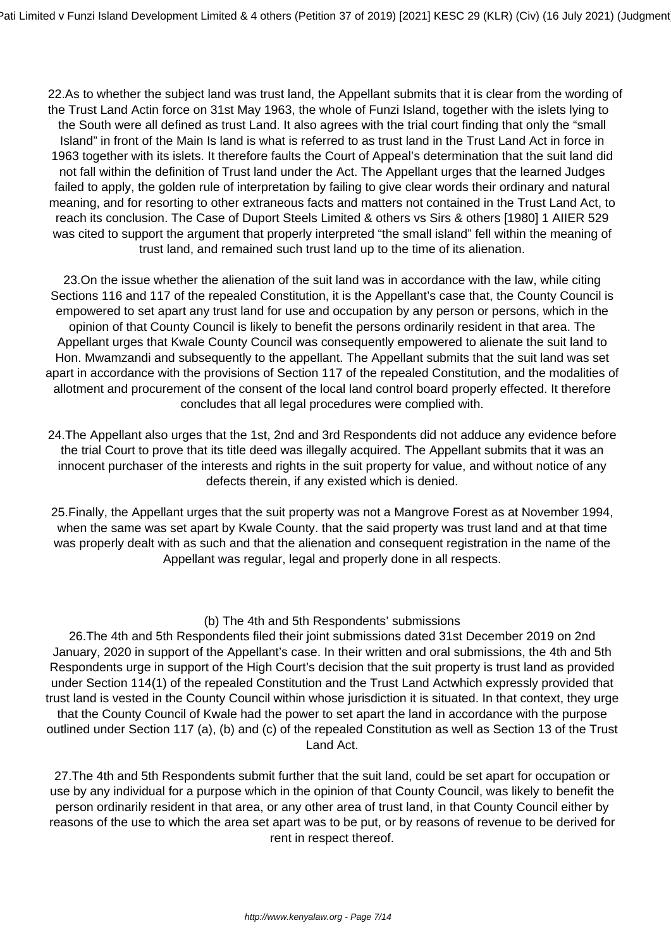22.As to whether the subject land was trust land, the Appellant submits that it is clear from the wording of the Trust Land Actin force on 31st May 1963, the whole of Funzi Island, together with the islets lying to the South were all defined as trust Land. It also agrees with the trial court finding that only the "small Island" in front of the Main Is land is what is referred to as trust land in the Trust Land Act in force in 1963 together with its islets. It therefore faults the Court of Appeal's determination that the suit land did not fall within the definition of Trust land under the Act. The Appellant urges that the learned Judges failed to apply, the golden rule of interpretation by failing to give clear words their ordinary and natural meaning, and for resorting to other extraneous facts and matters not contained in the Trust Land Act, to reach its conclusion. The Case of Duport Steels Limited & others vs Sirs & others [1980] 1 AIIER 529 was cited to support the argument that properly interpreted "the small island" fell within the meaning of trust land, and remained such trust land up to the time of its alienation.

23.On the issue whether the alienation of the suit land was in accordance with the law, while citing Sections 116 and 117 of the repealed Constitution, it is the Appellant's case that, the County Council is empowered to set apart any trust land for use and occupation by any person or persons, which in the opinion of that County Council is likely to benefit the persons ordinarily resident in that area. The Appellant urges that Kwale County Council was consequently empowered to alienate the suit land to Hon. Mwamzandi and subsequently to the appellant. The Appellant submits that the suit land was set apart in accordance with the provisions of Section 117 of the repealed Constitution, and the modalities of allotment and procurement of the consent of the local land control board properly effected. It therefore concludes that all legal procedures were complied with.

24.The Appellant also urges that the 1st, 2nd and 3rd Respondents did not adduce any evidence before the trial Court to prove that its title deed was illegally acquired. The Appellant submits that it was an innocent purchaser of the interests and rights in the suit property for value, and without notice of any defects therein, if any existed which is denied.

25.Finally, the Appellant urges that the suit property was not a Mangrove Forest as at November 1994, when the same was set apart by Kwale County. that the said property was trust land and at that time was properly dealt with as such and that the alienation and consequent registration in the name of the Appellant was regular, legal and properly done in all respects.

#### (b) The 4th and 5th Respondents' submissions

26.The 4th and 5th Respondents filed their joint submissions dated 31st December 2019 on 2nd January, 2020 in support of the Appellant's case. In their written and oral submissions, the 4th and 5th Respondents urge in support of the High Court's decision that the suit property is trust land as provided under Section 114(1) of the repealed Constitution and the Trust Land Actwhich expressly provided that trust land is vested in the County Council within whose jurisdiction it is situated. In that context, they urge that the County Council of Kwale had the power to set apart the land in accordance with the purpose outlined under Section 117 (a), (b) and (c) of the repealed Constitution as well as Section 13 of the Trust Land Act.

27.The 4th and 5th Respondents submit further that the suit land, could be set apart for occupation or use by any individual for a purpose which in the opinion of that County Council, was likely to benefit the person ordinarily resident in that area, or any other area of trust land, in that County Council either by reasons of the use to which the area set apart was to be put, or by reasons of revenue to be derived for rent in respect thereof.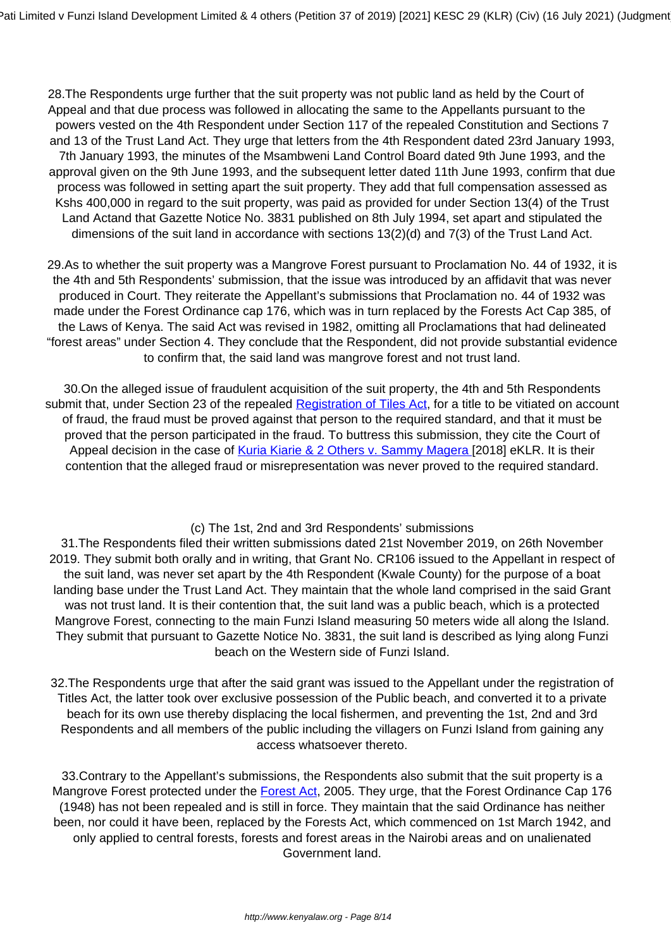28.The Respondents urge further that the suit property was not public land as held by the Court of Appeal and that due process was followed in allocating the same to the Appellants pursuant to the powers vested on the 4th Respondent under Section 117 of the repealed Constitution and Sections 7 and 13 of the Trust Land Act. They urge that letters from the 4th Respondent dated 23rd January 1993, 7th January 1993, the minutes of the Msambweni Land Control Board dated 9th June 1993, and the approval given on the 9th June 1993, and the subsequent letter dated 11th June 1993, confirm that due process was followed in setting apart the suit property. They add that full compensation assessed as Kshs 400,000 in regard to the suit property, was paid as provided for under Section 13(4) of the Trust Land Actand that Gazette Notice No. 3831 published on 8th July 1994, set apart and stipulated the dimensions of the suit land in accordance with sections 13(2)(d) and 7(3) of the Trust Land Act.

29.As to whether the suit property was a Mangrove Forest pursuant to Proclamation No. 44 of 1932, it is the 4th and 5th Respondents' submission, that the issue was introduced by an affidavit that was never produced in Court. They reiterate the Appellant's submissions that Proclamation no. 44 of 1932 was made under the Forest Ordinance cap 176, which was in turn replaced by the Forests Act Cap 385, of the Laws of Kenya. The said Act was revised in 1982, omitting all Proclamations that had delineated "forest areas" under Section 4. They conclude that the Respondent, did not provide substantial evidence to confirm that, the said land was mangrove forest and not trust land.

30.On the alleged issue of fraudulent acquisition of the suit property, the 4th and 5th Respondents submit that, under Section 23 of the repealed [Registration of Tiles Act,](http://kenyalaw.org/kl/fileadmin/pdfdownloads/Acts/RegistrationofTitlesCap281.pdf) for a title to be vitiated on account of fraud, the fraud must be proved against that person to the required standard, and that it must be proved that the person participated in the fraud. To buttress this submission, they cite the Court of Appeal decision in the case of [Kuria Kiarie & 2 Others v. Sammy Magera \[](http://kenyalaw.org/caselaw/cases/view/155879/)2018] eKLR. It is their contention that the alleged fraud or misrepresentation was never proved to the required standard.

## (c) The 1st, 2nd and 3rd Respondents' submissions

31.The Respondents filed their written submissions dated 21st November 2019, on 26th November 2019. They submit both orally and in writing, that Grant No. CR106 issued to the Appellant in respect of the suit land, was never set apart by the 4th Respondent (Kwale County) for the purpose of a boat landing base under the Trust Land Act. They maintain that the whole land comprised in the said Grant was not trust land. It is their contention that, the suit land was a public beach, which is a protected Mangrove Forest, connecting to the main Funzi Island measuring 50 meters wide all along the Island. They submit that pursuant to Gazette Notice No. 3831, the suit land is described as lying along Funzi beach on the Western side of Funzi Island.

32.The Respondents urge that after the said grant was issued to the Appellant under the registration of Titles Act, the latter took over exclusive possession of the Public beach, and converted it to a private beach for its own use thereby displacing the local fishermen, and preventing the 1st, 2nd and 3rd Respondents and all members of the public including the villagers on Funzi Island from gaining any access whatsoever thereto.

33.Contrary to the Appellant's submissions, the Respondents also submit that the suit property is a Mangrove Forest protected under the **Forest Act**, 2005. They urge, that the Forest Ordinance Cap 176 (1948) has not been repealed and is still in force. They maintain that the said Ordinance has neither been, nor could it have been, replaced by the Forests Act, which commenced on 1st March 1942, and only applied to central forests, forests and forest areas in the Nairobi areas and on unalienated Government land.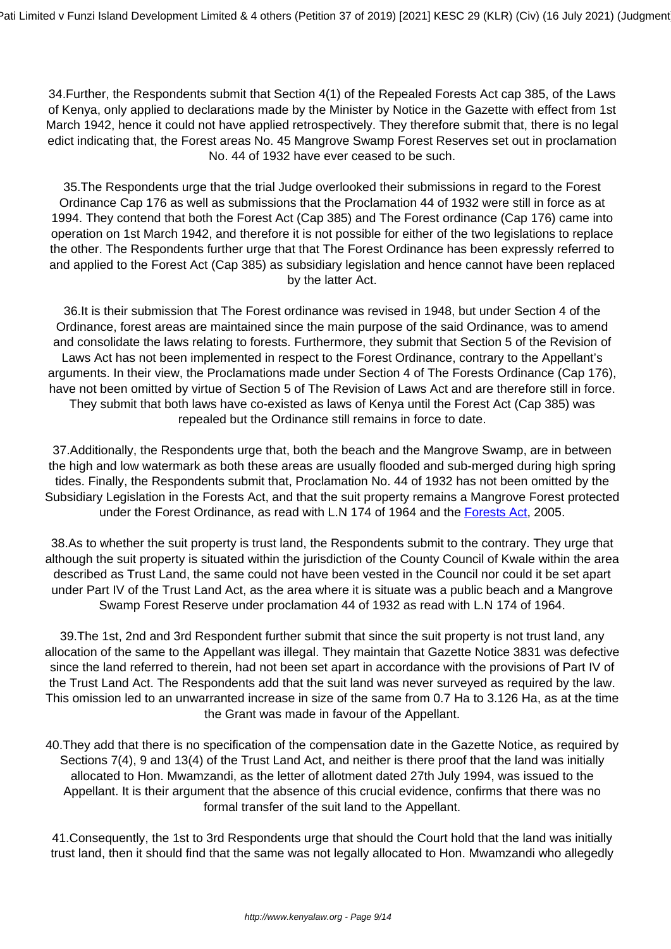34.Further, the Respondents submit that Section 4(1) of the Repealed Forests Act cap 385, of the Laws of Kenya, only applied to declarations made by the Minister by Notice in the Gazette with effect from 1st March 1942, hence it could not have applied retrospectively. They therefore submit that, there is no legal edict indicating that, the Forest areas No. 45 Mangrove Swamp Forest Reserves set out in proclamation No. 44 of 1932 have ever ceased to be such.

35.The Respondents urge that the trial Judge overlooked their submissions in regard to the Forest Ordinance Cap 176 as well as submissions that the Proclamation 44 of 1932 were still in force as at 1994. They contend that both the Forest Act (Cap 385) and The Forest ordinance (Cap 176) came into operation on 1st March 1942, and therefore it is not possible for either of the two legislations to replace the other. The Respondents further urge that that The Forest Ordinance has been expressly referred to and applied to the Forest Act (Cap 385) as subsidiary legislation and hence cannot have been replaced by the latter Act.

36.It is their submission that The Forest ordinance was revised in 1948, but under Section 4 of the Ordinance, forest areas are maintained since the main purpose of the said Ordinance, was to amend and consolidate the laws relating to forests. Furthermore, they submit that Section 5 of the Revision of Laws Act has not been implemented in respect to the Forest Ordinance, contrary to the Appellant's arguments. In their view, the Proclamations made under Section 4 of The Forests Ordinance (Cap 176), have not been omitted by virtue of Section 5 of The Revision of Laws Act and are therefore still in force. They submit that both laws have co-existed as laws of Kenya until the Forest Act (Cap 385) was repealed but the Ordinance still remains in force to date.

37.Additionally, the Respondents urge that, both the beach and the Mangrove Swamp, are in between the high and low watermark as both these areas are usually flooded and sub-merged during high spring tides. Finally, the Respondents submit that, Proclamation No. 44 of 1932 has not been omitted by the Subsidiary Legislation in the Forests Act, and that the suit property remains a Mangrove Forest protected under the Forest Ordinance, as read with L.N 174 of 1964 and the [Forests Act,](http://kenyalaw.org/kl/fileadmin/pdfdownloads/Acts/ForestsAct_No7of2005.pdf) 2005.

38.As to whether the suit property is trust land, the Respondents submit to the contrary. They urge that although the suit property is situated within the jurisdiction of the County Council of Kwale within the area described as Trust Land, the same could not have been vested in the Council nor could it be set apart under Part IV of the Trust Land Act, as the area where it is situate was a public beach and a Mangrove Swamp Forest Reserve under proclamation 44 of 1932 as read with L.N 174 of 1964.

39.The 1st, 2nd and 3rd Respondent further submit that since the suit property is not trust land, any allocation of the same to the Appellant was illegal. They maintain that Gazette Notice 3831 was defective since the land referred to therein, had not been set apart in accordance with the provisions of Part IV of the Trust Land Act. The Respondents add that the suit land was never surveyed as required by the law. This omission led to an unwarranted increase in size of the same from 0.7 Ha to 3.126 Ha, as at the time the Grant was made in favour of the Appellant.

40.They add that there is no specification of the compensation date in the Gazette Notice, as required by Sections 7(4), 9 and 13(4) of the Trust Land Act, and neither is there proof that the land was initially allocated to Hon. Mwamzandi, as the letter of allotment dated 27th July 1994, was issued to the Appellant. It is their argument that the absence of this crucial evidence, confirms that there was no formal transfer of the suit land to the Appellant.

41.Consequently, the 1st to 3rd Respondents urge that should the Court hold that the land was initially trust land, then it should find that the same was not legally allocated to Hon. Mwamzandi who allegedly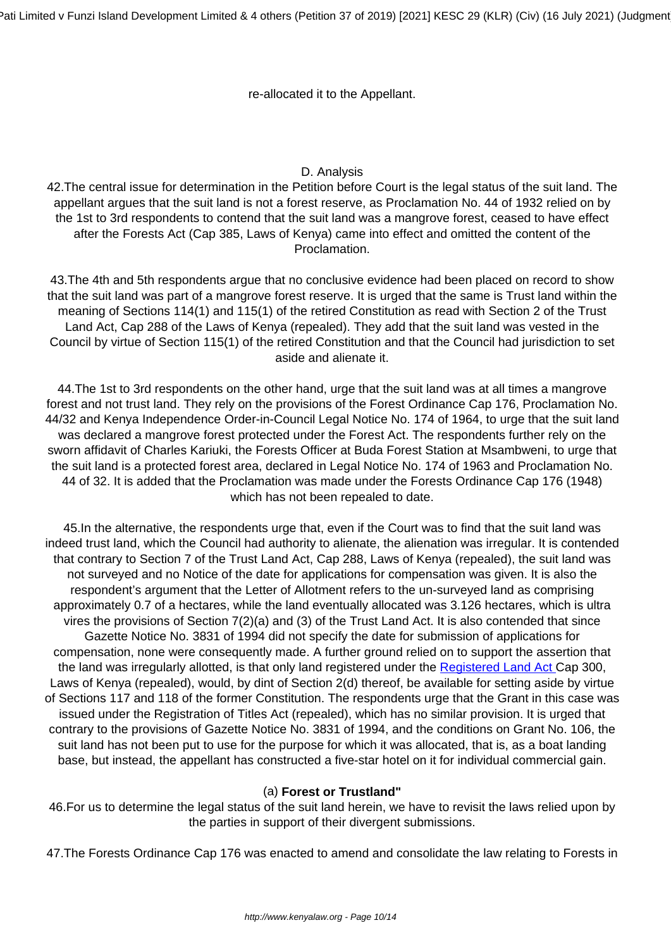re-allocated it to the Appellant.

## D. Analysis

42.The central issue for determination in the Petition before Court is the legal status of the suit land. The appellant argues that the suit land is not a forest reserve, as Proclamation No. 44 of 1932 relied on by the 1st to 3rd respondents to contend that the suit land was a mangrove forest, ceased to have effect after the Forests Act (Cap 385, Laws of Kenya) came into effect and omitted the content of the Proclamation.

43.The 4th and 5th respondents argue that no conclusive evidence had been placed on record to show that the suit land was part of a mangrove forest reserve. It is urged that the same is Trust land within the meaning of Sections 114(1) and 115(1) of the retired Constitution as read with Section 2 of the Trust Land Act, Cap 288 of the Laws of Kenya (repealed). They add that the suit land was vested in the Council by virtue of Section 115(1) of the retired Constitution and that the Council had jurisdiction to set aside and alienate it.

44.The 1st to 3rd respondents on the other hand, urge that the suit land was at all times a mangrove forest and not trust land. They rely on the provisions of the Forest Ordinance Cap 176, Proclamation No. 44/32 and Kenya Independence Order-in-Council Legal Notice No. 174 of 1964, to urge that the suit land was declared a mangrove forest protected under the Forest Act. The respondents further rely on the sworn affidavit of Charles Kariuki, the Forests Officer at Buda Forest Station at Msambweni, to urge that the suit land is a protected forest area, declared in Legal Notice No. 174 of 1963 and Proclamation No. 44 of 32. It is added that the Proclamation was made under the Forests Ordinance Cap 176 (1948) which has not been repealed to date.

45.In the alternative, the respondents urge that, even if the Court was to find that the suit land was indeed trust land, which the Council had authority to alienate, the alienation was irregular. It is contended that contrary to Section 7 of the Trust Land Act, Cap 288, Laws of Kenya (repealed), the suit land was not surveyed and no Notice of the date for applications for compensation was given. It is also the respondent's argument that the Letter of Allotment refers to the un-surveyed land as comprising approximately 0.7 of a hectares, while the land eventually allocated was 3.126 hectares, which is ultra vires the provisions of Section 7(2)(a) and (3) of the Trust Land Act. It is also contended that since Gazette Notice No. 3831 of 1994 did not specify the date for submission of applications for compensation, none were consequently made. A further ground relied on to support the assertion that the land was irregularly allotted, is that only land registered under the [Registered Land Act](http://kenyalaw.org/kl/fileadmin/pdfdownloads/Acts/RegisteredLandActCap300.pdf) Cap 300, Laws of Kenya (repealed), would, by dint of Section 2(d) thereof, be available for setting aside by virtue of Sections 117 and 118 of the former Constitution. The respondents urge that the Grant in this case was issued under the Registration of Titles Act (repealed), which has no similar provision. It is urged that contrary to the provisions of Gazette Notice No. 3831 of 1994, and the conditions on Grant No. 106, the suit land has not been put to use for the purpose for which it was allocated, that is, as a boat landing base, but instead, the appellant has constructed a five-star hotel on it for individual commercial gain.

#### (a) **Forest or Trustland"**

46.For us to determine the legal status of the suit land herein, we have to revisit the laws relied upon by the parties in support of their divergent submissions.

47.The Forests Ordinance Cap 176 was enacted to amend and consolidate the law relating to Forests in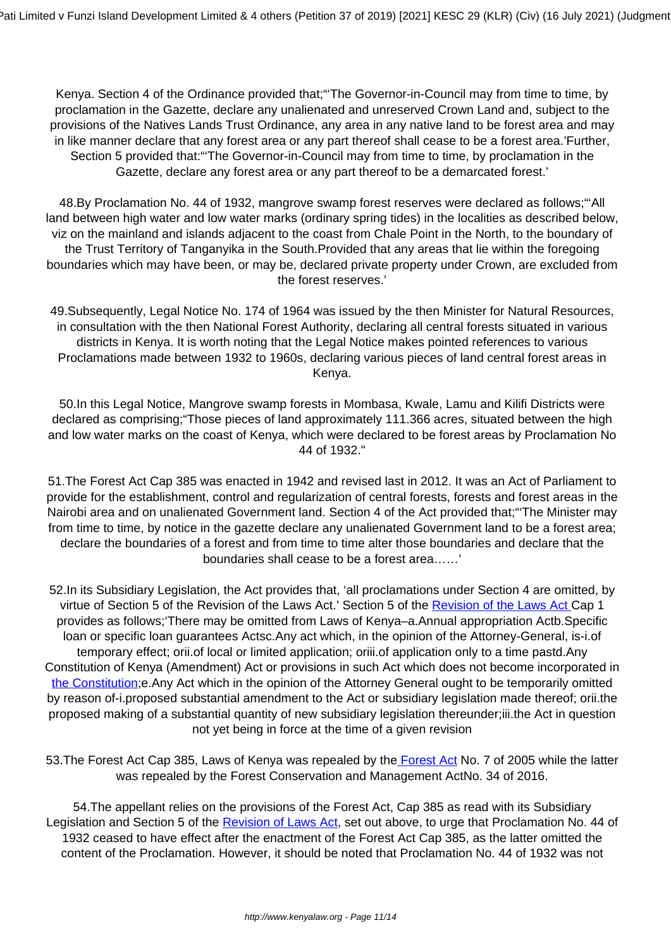Kenya. Section 4 of the Ordinance provided that;"'The Governor-in-Council may from time to time, by proclamation in the Gazette, declare any unalienated and unreserved Crown Land and, subject to the provisions of the Natives Lands Trust Ordinance, any area in any native land to be forest area and may in like manner declare that any forest area or any part thereof shall cease to be a forest area.'Further, Section 5 provided that:"'The Governor-in-Council may from time to time, by proclamation in the Gazette, declare any forest area or any part thereof to be a demarcated forest.'

48.By Proclamation No. 44 of 1932, mangrove swamp forest reserves were declared as follows;"'All land between high water and low water marks (ordinary spring tides) in the localities as described below, viz on the mainland and islands adjacent to the coast from Chale Point in the North, to the boundary of the Trust Territory of Tanganyika in the South.Provided that any areas that lie within the foregoing boundaries which may have been, or may be, declared private property under Crown, are excluded from the forest reserves.'

49.Subsequently, Legal Notice No. 174 of 1964 was issued by the then Minister for Natural Resources, in consultation with the then National Forest Authority, declaring all central forests situated in various districts in Kenya. It is worth noting that the Legal Notice makes pointed references to various Proclamations made between 1932 to 1960s, declaring various pieces of land central forest areas in Kenya.

50.In this Legal Notice, Mangrove swamp forests in Mombasa, Kwale, Lamu and Kilifi Districts were declared as comprising;"Those pieces of land approximately 111.366 acres, situated between the high and low water marks on the coast of Kenya, which were declared to be forest areas by Proclamation No 44 of 1932."

51.The Forest Act Cap 385 was enacted in 1942 and revised last in 2012. It was an Act of Parliament to provide for the establishment, control and regularization of central forests, forests and forest areas in the Nairobi area and on unalienated Government land. Section 4 of the Act provided that;"'The Minister may from time to time, by notice in the gazette declare any unalienated Government land to be a forest area; declare the boundaries of a forest and from time to time alter those boundaries and declare that the boundaries shall cease to be a forest area……'

52.In its Subsidiary Legislation, the Act provides that, 'all proclamations under Section 4 are omitted, by virtue of Section 5 of the Revision of the Laws Act.' Section 5 of the [Revision of the Laws Act C](http://www.kenyalaw.org:8181/exist/kenyalex/actview.xql"actid=CAP.%201)ap 1 provides as follows;'There may be omitted from Laws of Kenya–a.Annual appropriation Actb.Specific loan or specific loan guarantees Actsc.Any act which, in the opinion of the Attorney-General, is-i.of temporary effect; orii.of local or limited application; oriii.of application only to a time pastd.Any Constitution of Kenya (Amendment) Act or provisions in such Act which does not become incorporated in [the Constitution](http://kenyalaw.org:8181/exist/kenyalex/actview.xql"actid=Const2010); e. Any Act which in the opinion of the Attorney General ought to be temporarily omitted by reason of-i.proposed substantial amendment to the Act or subsidiary legislation made thereof; orii.the proposed making of a substantial quantity of new subsidiary legislation thereunder;iii.the Act in question not yet being in force at the time of a given revision

53.The Forest Act Cap 385, Laws of Kenya was repealed by the [Forest Act](http://kenyalaw.org/kl/fileadmin/pdfdownloads/Acts/ForestsAct_No7of2005.pdf) No. 7 of 2005 while the latter was repealed by the Forest Conservation and Management ActNo. 34 of 2016.

54.The appellant relies on the provisions of the Forest Act, Cap 385 as read with its Subsidiary Legislation and Section 5 of the [Revision of Laws Act,](http://www.kenyalaw.org:8181/exist/kenyalex/actview.xql"actid=CAP.%201) set out above, to urge that Proclamation No. 44 of 1932 ceased to have effect after the enactment of the Forest Act Cap 385, as the latter omitted the content of the Proclamation. However, it should be noted that Proclamation No. 44 of 1932 was not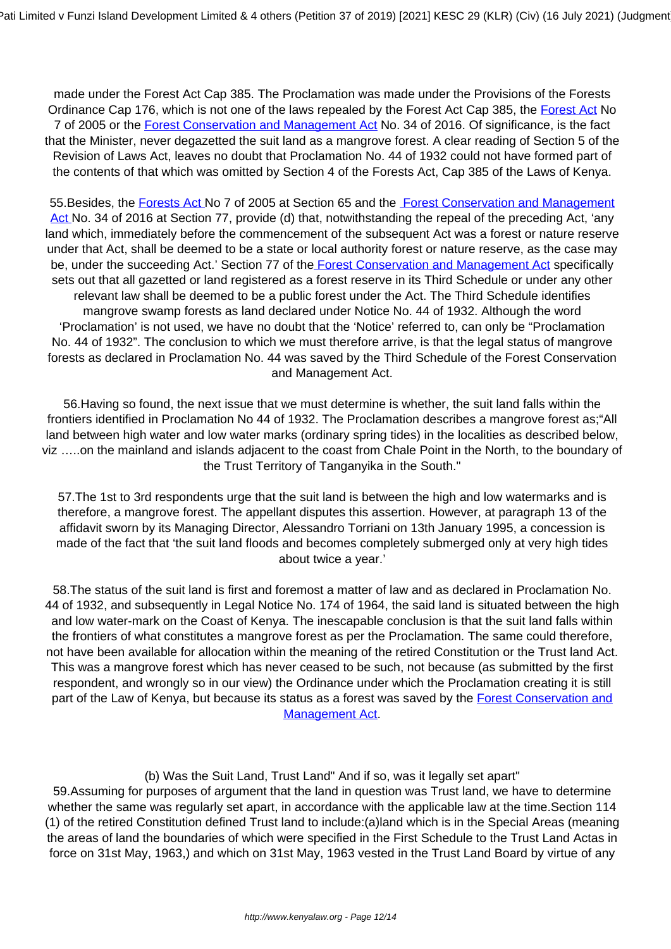made under the Forest Act Cap 385. The Proclamation was made under the Provisions of the Forests Ordinance Cap 176, which is not one of the laws repealed by the Forest Act Cap 385, the [Forest Act](http://kenyalaw.org/kl/fileadmin/pdfdownloads/Acts/ForestsAct_No7of2005.pdf) No 7 of 2005 or the [Forest Conservation and Management Act](http://www.kenyalaw.org:8181/exist/kenyalex/actview.xql"actid=No.%2034%20of%202016) No. 34 of 2016. Of significance, is the fact that the Minister, never degazetted the suit land as a mangrove forest. A clear reading of Section 5 of the Revision of Laws Act, leaves no doubt that Proclamation No. 44 of 1932 could not have formed part of the contents of that which was omitted by Section 4 of the Forests Act, Cap 385 of the Laws of Kenya.

55. Besides, the [Forests Act N](http://kenyalaw.org/kl/fileadmin/pdfdownloads/Acts/ForestsAct_No7of2005.pdf)o 7 of 2005 at Section 65 and the [Forest Conservation and Management](http://www.kenyalaw.org:8181/exist/kenyalex/actview.xql"actid=No.%2034%20of%202016) [Act N](http://www.kenyalaw.org:8181/exist/kenyalex/actview.xql"actid=No.%2034%20of%202016)o. 34 of 2016 at Section 77, provide (d) that, notwithstanding the repeal of the preceding Act, 'any land which, immediately before the commencement of the subsequent Act was a forest or nature reserve under that Act, shall be deemed to be a state or local authority forest or nature reserve, as the case may be, under the succeeding Act.' Section 77 of the [Forest Conservation and Management Act](http://www.kenyalaw.org:8181/exist/kenyalex/actview.xql"actid=No.%2034%20of%202016) specifically sets out that all gazetted or land registered as a forest reserve in its Third Schedule or under any other relevant law shall be deemed to be a public forest under the Act. The Third Schedule identifies mangrove swamp forests as land declared under Notice No. 44 of 1932. Although the word 'Proclamation' is not used, we have no doubt that the 'Notice' referred to, can only be "Proclamation No. 44 of 1932". The conclusion to which we must therefore arrive, is that the legal status of mangrove forests as declared in Proclamation No. 44 was saved by the Third Schedule of the Forest Conservation and Management Act.

56.Having so found, the next issue that we must determine is whether, the suit land falls within the frontiers identified in Proclamation No 44 of 1932. The Proclamation describes a mangrove forest as;"All land between high water and low water marks (ordinary spring tides) in the localities as described below, viz …..on the mainland and islands adjacent to the coast from Chale Point in the North, to the boundary of the Trust Territory of Tanganyika in the South."

57.The 1st to 3rd respondents urge that the suit land is between the high and low watermarks and is therefore, a mangrove forest. The appellant disputes this assertion. However, at paragraph 13 of the affidavit sworn by its Managing Director, Alessandro Torriani on 13th January 1995, a concession is made of the fact that 'the suit land floods and becomes completely submerged only at very high tides about twice a year.'

58.The status of the suit land is first and foremost a matter of law and as declared in Proclamation No. 44 of 1932, and subsequently in Legal Notice No. 174 of 1964, the said land is situated between the high and low water-mark on the Coast of Kenya. The inescapable conclusion is that the suit land falls within the frontiers of what constitutes a mangrove forest as per the Proclamation. The same could therefore, not have been available for allocation within the meaning of the retired Constitution or the Trust land Act. This was a mangrove forest which has never ceased to be such, not because (as submitted by the first respondent, and wrongly so in our view) the Ordinance under which the Proclamation creating it is still part of the Law of Kenya, but because its status as a forest was saved by the [Forest Conservation and](http://www.kenyalaw.org:8181/exist/kenyalex/actview.xql"actid=No.%2034%20of%202016) [Management Act.](http://www.kenyalaw.org:8181/exist/kenyalex/actview.xql"actid=No.%2034%20of%202016)

#### (b) Was the Suit Land, Trust Land" And if so, was it legally set apart"

59.Assuming for purposes of argument that the land in question was Trust land, we have to determine whether the same was regularly set apart, in accordance with the applicable law at the time.Section 114 (1) of the retired Constitution defined Trust land to include:(a)land which is in the Special Areas (meaning the areas of land the boundaries of which were specified in the First Schedule to the Trust Land Actas in force on 31st May, 1963,) and which on 31st May, 1963 vested in the Trust Land Board by virtue of any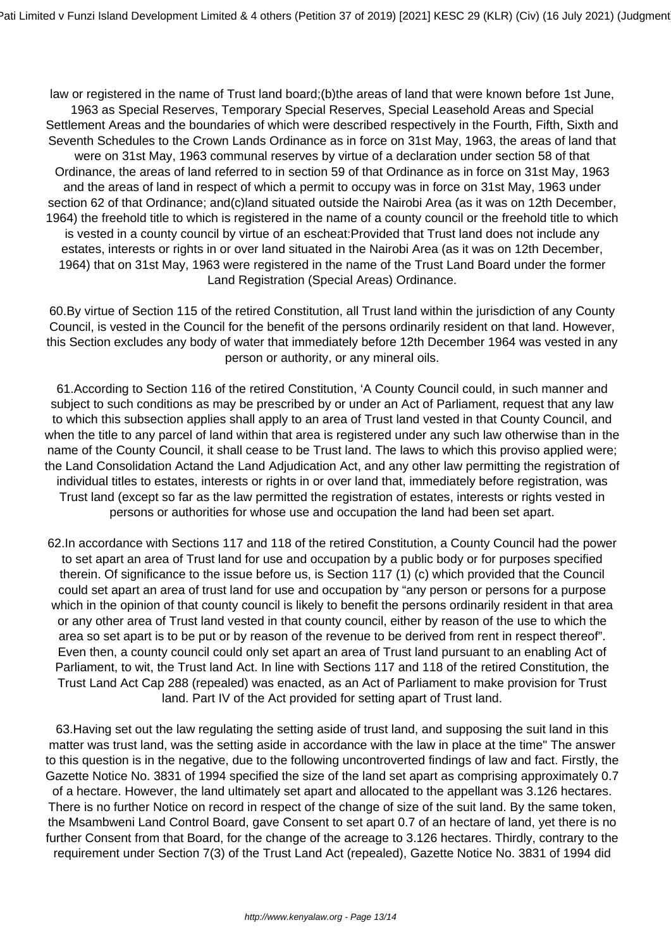law or registered in the name of Trust land board;(b)the areas of land that were known before 1st June, 1963 as Special Reserves, Temporary Special Reserves, Special Leasehold Areas and Special Settlement Areas and the boundaries of which were described respectively in the Fourth, Fifth, Sixth and Seventh Schedules to the Crown Lands Ordinance as in force on 31st May, 1963, the areas of land that were on 31st May, 1963 communal reserves by virtue of a declaration under section 58 of that Ordinance, the areas of land referred to in section 59 of that Ordinance as in force on 31st May, 1963 and the areas of land in respect of which a permit to occupy was in force on 31st May, 1963 under section 62 of that Ordinance; and(c)land situated outside the Nairobi Area (as it was on 12th December, 1964) the freehold title to which is registered in the name of a county council or the freehold title to which is vested in a county council by virtue of an escheat:Provided that Trust land does not include any estates, interests or rights in or over land situated in the Nairobi Area (as it was on 12th December, 1964) that on 31st May, 1963 were registered in the name of the Trust Land Board under the former Land Registration (Special Areas) Ordinance.

60.By virtue of Section 115 of the retired Constitution, all Trust land within the jurisdiction of any County Council, is vested in the Council for the benefit of the persons ordinarily resident on that land. However, this Section excludes any body of water that immediately before 12th December 1964 was vested in any person or authority, or any mineral oils.

61.According to Section 116 of the retired Constitution, 'A County Council could, in such manner and subject to such conditions as may be prescribed by or under an Act of Parliament, request that any law to which this subsection applies shall apply to an area of Trust land vested in that County Council, and when the title to any parcel of land within that area is registered under any such law otherwise than in the name of the County Council, it shall cease to be Trust land. The laws to which this proviso applied were; the Land Consolidation Actand the Land Adjudication Act, and any other law permitting the registration of individual titles to estates, interests or rights in or over land that, immediately before registration, was Trust land (except so far as the law permitted the registration of estates, interests or rights vested in persons or authorities for whose use and occupation the land had been set apart.

62.In accordance with Sections 117 and 118 of the retired Constitution, a County Council had the power to set apart an area of Trust land for use and occupation by a public body or for purposes specified therein. Of significance to the issue before us, is Section 117 (1) (c) which provided that the Council could set apart an area of trust land for use and occupation by "any person or persons for a purpose which in the opinion of that county council is likely to benefit the persons ordinarily resident in that area or any other area of Trust land vested in that county council, either by reason of the use to which the area so set apart is to be put or by reason of the revenue to be derived from rent in respect thereof". Even then, a county council could only set apart an area of Trust land pursuant to an enabling Act of Parliament, to wit, the Trust land Act. In line with Sections 117 and 118 of the retired Constitution, the Trust Land Act Cap 288 (repealed) was enacted, as an Act of Parliament to make provision for Trust land. Part IV of the Act provided for setting apart of Trust land.

63.Having set out the law regulating the setting aside of trust land, and supposing the suit land in this matter was trust land, was the setting aside in accordance with the law in place at the time" The answer to this question is in the negative, due to the following uncontroverted findings of law and fact. Firstly, the Gazette Notice No. 3831 of 1994 specified the size of the land set apart as comprising approximately 0.7 of a hectare. However, the land ultimately set apart and allocated to the appellant was 3.126 hectares. There is no further Notice on record in respect of the change of size of the suit land. By the same token, the Msambweni Land Control Board, gave Consent to set apart 0.7 of an hectare of land, yet there is no further Consent from that Board, for the change of the acreage to 3.126 hectares. Thirdly, contrary to the requirement under Section 7(3) of the Trust Land Act (repealed), Gazette Notice No. 3831 of 1994 did